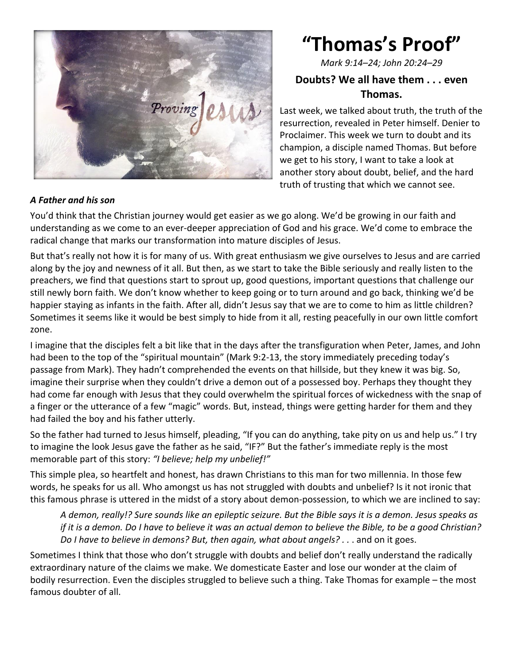

### *A Father and his son*

# **"Thomas's Proof"**

*Mark 9:14–24; John 20:24–29*

# **Doubts? We all have them . . . even Thomas.**

Last week, we talked about truth, the truth of the resurrection, revealed in Peter himself. Denier to Proclaimer. This week we turn to doubt and its champion, a disciple named Thomas. But before we get to his story, I want to take a look at another story about doubt, belief, and the hard truth of trusting that which we cannot see.

You'd think that the Christian journey would get easier as we go along. We'd be growing in our faith and understanding as we come to an ever-deeper appreciation of God and his grace. We'd come to embrace the radical change that marks our transformation into mature disciples of Jesus.

But that's really not how it is for many of us. With great enthusiasm we give ourselves to Jesus and are carried along by the joy and newness of it all. But then, as we start to take the Bible seriously and really listen to the preachers, we find that questions start to sprout up, good questions, important questions that challenge our still newly born faith. We don't know whether to keep going or to turn around and go back, thinking we'd be happier staying as infants in the faith. After all, didn't Jesus say that we are to come to him as little children? Sometimes it seems like it would be best simply to hide from it all, resting peacefully in our own little comfort zone.

I imagine that the disciples felt a bit like that in the days after the transfiguration when Peter, James, and John had been to the top of the "spiritual mountain" (Mark 9:2-13, the story immediately preceding today's passage from Mark). They hadn't comprehended the events on that hillside, but they knew it was big. So, imagine their surprise when they couldn't drive a demon out of a possessed boy. Perhaps they thought they had come far enough with Jesus that they could overwhelm the spiritual forces of wickedness with the snap of a finger or the utterance of a few "magic" words. But, instead, things were getting harder for them and they had failed the boy and his father utterly.

So the father had turned to Jesus himself, pleading, "If you can do anything, take pity on us and help us." I try to imagine the look Jesus gave the father as he said, "IF?" But the father's immediate reply is the most memorable part of this story: *"I believe; help my unbelief!"*

This simple plea, so heartfelt and honest, has drawn Christians to this man for two millennia. In those few words, he speaks for us all. Who amongst us has not struggled with doubts and unbelief? Is it not ironic that this famous phrase is uttered in the midst of a story about demon-possession, to which we are inclined to say:

*A demon, really!? Sure sounds like an epileptic seizure. But the Bible says it is a demon. Jesus speaks as if it is a demon. Do I have to believe it was an actual demon to believe the Bible, to be a good Christian? Do I have to believe in demons? But, then again, what about angels? . . . and on it goes.* 

Sometimes I think that those who don't struggle with doubts and belief don't really understand the radically extraordinary nature of the claims we make. We domesticate Easter and lose our wonder at the claim of bodily resurrection. Even the disciples struggled to believe such a thing. Take Thomas for example – the most famous doubter of all.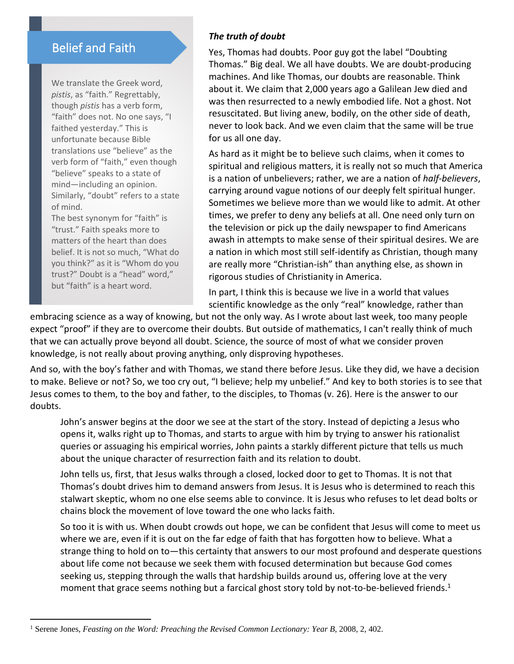# Belief and Faith

We translate the Greek word, *pistis*, as "faith." Regrettably, though *pistis* has a verb form, "faith" does not. No one says, "I faithed yesterday." This is unfortunate because Bible translations use "believe" as the verb form of "faith," even though "believe" speaks to a state of mind—including an opinion. Similarly, "doubt" refers to a state of mind.

The best synonym for "faith" is "trust." Faith speaks more to matters of the heart than does belief. It is not so much, "What do you think?" as it is "Whom do you trust?" Doubt is a "head" word," but "faith" is a heart word.

#### *The truth of doubt*

Yes, Thomas had doubts. Poor guy got the label "Doubting Thomas." Big deal. We all have doubts. We are doubt-producing machines. And like Thomas, our doubts are reasonable. Think about it. We claim that 2,000 years ago a Galilean Jew died and was then resurrected to a newly embodied life. Not a ghost. Not resuscitated. But living anew, bodily, on the other side of death, never to look back. And we even claim that the same will be true for us all one day.

As hard as it might be to believe such claims, when it comes to spiritual and religious matters, it is really not so much that America is a nation of unbelievers; rather, we are a nation of *half-believers*, carrying around vague notions of our deeply felt spiritual hunger. Sometimes we believe more than we would like to admit. At other times, we prefer to deny any beliefs at all. One need only turn on the television or pick up the daily newspaper to find Americans awash in attempts to make sense of their spiritual desires. We are a nation in which most still self-identify as Christian, though many are really more "Christian-ish" than anything else, as shown in rigorous studies of Christianity in America.

In part, I think this is because we live in a world that values scientific knowledge as the only "real" knowledge, rather than

embracing science as a way of knowing, but not the only way. As I wrote about last week, too many people expect "proof" if they are to overcome their doubts. But outside of mathematics, I can't really think of much that we can actually prove beyond all doubt. Science, the source of most of what we consider proven knowledge, is not really about proving anything, only disproving hypotheses.

And so, with the boy's father and with Thomas, we stand there before Jesus. Like they did, we have a decision to make. Believe or not? So, we too cry out, "I believe; help my unbelief." And key to both stories is to see that Jesus comes to them, to the boy and father, to the disciples, to Thomas (v. 26). Here is the answer to our doubts.

John's answer begins at the door we see at the start of the story. Instead of depicting a Jesus who opens it, walks right up to Thomas, and starts to argue with him by trying to answer his rationalist queries or assuaging his empirical worries, John paints a starkly different picture that tells us much about the unique character of resurrection faith and its relation to doubt.

John tells us, first, that Jesus walks through a closed, locked door to get to Thomas. It is not that Thomas's doubt drives him to demand answers from Jesus. It is Jesus who is determined to reach this stalwart skeptic, whom no one else seems able to convince. It is Jesus who refuses to let dead bolts or chains block the movement of love toward the one who lacks faith.

So too it is with us. When doubt crowds out hope, we can be confident that Jesus will come to meet us where we are, even if it is out on the far edge of faith that has forgotten how to believe. What a strange thing to hold on to—this certainty that answers to our most profound and desperate questions about life come not because we seek them with focused determination but because God comes seeking us, stepping through the walls that hardship builds around us, offering love at the very moment that grace seems nothing but a farcical ghost story told by not-to-be-believed friends.<sup>1</sup>

<sup>1</sup> Serene Jones, *Feasting on the Word: Preaching the Revised Common Lectionary: Year B*, 2008, 2, 402.